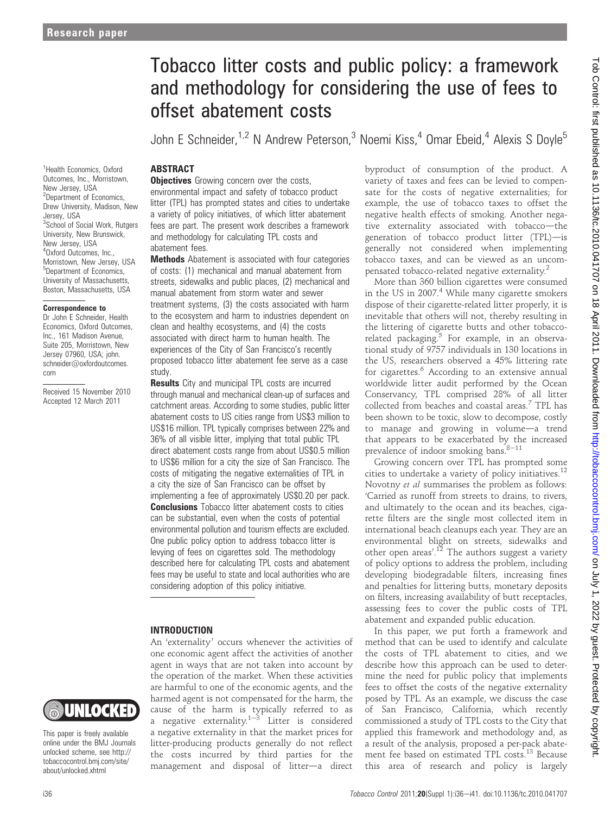<sup>1</sup>Health Economics, Oxford Outcomes, Inc., Morristown, New Jersey, USA <sup>2</sup>Department of Economics, Drew University, Madison, New

<sup>3</sup>School of Social Work, Rutgers University, New Brunswick, New Jersey, USA 4 Oxford Outcomes, Inc., Morristown, New Jersey, USA <sup>5</sup>Department of Economics, University of Massachusetts, Boston, Massachusetts, USA

Jersey, USA

Correspondence to Dr John E Schneider, Health Economics, Oxford Outcomes, Inc., 161 Madison Avenue, Suite 205, Morristown, New Jersey 07960, USA; john. schneider@oxfordoutcomes.

Received 15 November 2010 Accepted 12 March 2011

com

# Tobacco litter costs and public policy: a framework and methodology for considering the use of fees to offset abatement costs

John E Schneider,  $1.2$  N Andrew Peterson,  $3$  Noemi Kiss,  $4$  Omar Ebeid,  $4$  Alexis S Doyle<sup>5</sup>

# **ABSTRACT**

**Objectives** Growing concern over the costs, environmental impact and safety of tobacco product litter (TPL) has prompted states and cities to undertake a variety of policy initiatives, of which litter abatement fees are part. The present work describes a framework and methodology for calculating TPL costs and abatement fees.

**Methods** Abatement is associated with four categories of costs: (1) mechanical and manual abatement from streets, sidewalks and public places, (2) mechanical and manual abatement from storm water and sewer treatment systems, (3) the costs associated with harm to the ecosystem and harm to industries dependent on clean and healthy ecosystems, and (4) the costs associated with direct harm to human health. The experiences of the City of San Francisco's recently proposed tobacco litter abatement fee serve as a case study.

**Results** City and municipal TPL costs are incurred through manual and mechanical clean-up of surfaces and catchment areas. According to some studies, public litter abatement costs to US cities range from US\$3 million to US\$16 million. TPL typically comprises between 22% and 36% of all visible litter, implying that total public TPL direct abatement costs range from about US\$0.5 million to US\$6 million for a city the size of San Francisco. The costs of mitigating the negative externalities of TPL in a city the size of San Francisco can be offset by implementing a fee of approximately US\$0.20 per pack. **Conclusions** Tobacco litter abatement costs to cities can be substantial, even when the costs of potential environmental pollution and tourism effects are excluded. One public policy option to address tobacco litter is levying of fees on cigarettes sold. The methodology described here for calculating TPL costs and abatement fees may be useful to state and local authorities who are considering adoption of this policy initiative.

## INTRODUCTION

An 'externality' occurs whenever the activities of one economic agent affect the activities of another agent in ways that are not taken into account by the operation of the market. When these activities are harmful to one of the economic agents, and the harmed agent is not compensated for the harm, the cause of the harm is typically referred to as a negative externality. $1-3$  Litter is considered a negative externality in that the market prices for litter-producing products generally do not reflect the costs incurred by third parties for the management and disposal of litter-a direct byproduct of consumption of the product. A variety of taxes and fees can be levied to compensate for the costs of negative externalities; for example, the use of tobacco taxes to offset the negative health effects of smoking. Another negative externality associated with tobacco-the generation of tobacco product litter  $(TPL)$ —is generally not considered when implementing tobacco taxes, and can be viewed as an uncompensated tobacco-related negative externality.2

More than 360 billion cigarettes were consumed in the US in 2007.<sup>4</sup> While many cigarette smokers dispose of their cigarette-related litter properly, it is inevitable that others will not, thereby resulting in the littering of cigarette butts and other tobaccorelated packaging. $5$  For example, in an observational study of 9757 individuals in 130 locations in the US, researchers observed a 45% littering rate for cigarettes.<sup>6</sup> According to an extensive annual worldwide litter audit performed by the Ocean Conservancy, TPL comprised 28% of all litter collected from beaches and coastal areas.7 TPL has been shown to be toxic, slow to decompose, costly to manage and growing in volume-a trend that appears to be exacerbated by the increased prevalence of indoor smoking bans.  $8-11$ 

Growing concern over TPL has prompted some cities to undertake a variety of policy initiatives.<sup>12</sup> Novotny et al summarises the problem as follows: 'Carried as runoff from streets to drains, to rivers, and ultimately to the ocean and its beaches, cigarette filters are the single most collected item in international beach cleanups each year. They are an environmental blight on streets, sidewalks and other open areas'.<sup>12</sup> The authors suggest a variety of policy options to address the problem, including developing biodegradable filters, increasing fines and penalties for littering butts, monetary deposits on filters, increasing availability of butt receptacles, assessing fees to cover the public costs of TPL abatement and expanded public education.

In this paper, we put forth a framework and method that can be used to identify and calculate the costs of TPL abatement to cities, and we describe how this approach can be used to determine the need for public policy that implements fees to offset the costs of the negative externality posed by TPL. As an example, we discuss the case of San Francisco, California, which recently commissioned a study of TPL costs to the City that applied this framework and methodology and, as a result of the analysis, proposed a per-pack abatement fee based on estimated TPL costs.<sup>13</sup> Because this area of research and policy is largely



This paper is freely available online under the BMJ Journals unlocked scheme, see http:// tobaccocontrol.bmj.com/site/ about/unlocked.xhtml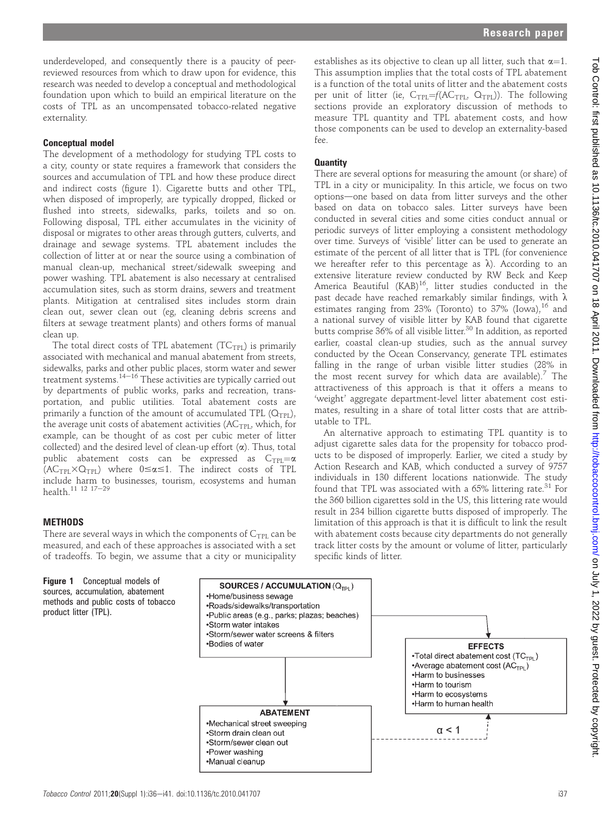underdeveloped, and consequently there is a paucity of peerreviewed resources from which to draw upon for evidence, this research was needed to develop a conceptual and methodological foundation upon which to build an empirical literature on the costs of TPL as an uncompensated tobacco-related negative externality.

### Conceptual model

The development of a methodology for studying TPL costs to a city, county or state requires a framework that considers the sources and accumulation of TPL and how these produce direct and indirect costs (figure 1). Cigarette butts and other TPL, when disposed of improperly, are typically dropped, flicked or flushed into streets, sidewalks, parks, toilets and so on. Following disposal, TPL either accumulates in the vicinity of disposal or migrates to other areas through gutters, culverts, and drainage and sewage systems. TPL abatement includes the collection of litter at or near the source using a combination of manual clean-up, mechanical street/sidewalk sweeping and power washing. TPL abatement is also necessary at centralised accumulation sites, such as storm drains, sewers and treatment plants. Mitigation at centralised sites includes storm drain clean out, sewer clean out (eg, cleaning debris screens and filters at sewage treatment plants) and others forms of manual clean up.

The total direct costs of TPL abatement  $(TC_{TPL})$  is primarily associated with mechanical and manual abatement from streets, sidewalks, parks and other public places, storm water and sewer treatment systems.<sup>14-16</sup> These activities are typically carried out by departments of public works, parks and recreation, transportation, and public utilities. Total abatement costs are primarily a function of the amount of accumulated TPL  $(Q_{TPL})$ , the average unit costs of abatement activities ( $AC$ <sub>TPL</sub>, which, for example, can be thought of as cost per cubic meter of litter collected) and the desired level of clean-up effort  $(\alpha)$ . Thus, total public abatement costs can be expressed as  $C_{\text{TPL}} = \alpha$  $(AC_{TPI} \times Q_{TPI})$  where  $0 \le \alpha \le 1$ . The indirect costs of TPL include harm to businesses, tourism, ecosystems and human health.<sup>11 12</sup>  $17-29$ 

#### **METHODS**

There are several ways in which the components of  $C_{TPL}$  can be measured, and each of these approaches is associated with a set of tradeoffs. To begin, we assume that a city or municipality



establishes as its objective to clean up all litter, such that  $\alpha=1$ . This assumption implies that the total costs of TPL abatement is a function of the total units of litter and the abatement costs per unit of litter (ie,  $C_{TPL} = f(AC_{TPL}, Q_{TPL})$ ). The following sections provide an exploratory discussion of methods to measure TPL quantity and TPL abatement costs, and how those components can be used to develop an externality-based fee.

### **Quantity**

There are several options for measuring the amount (or share) of TPL in a city or municipality. In this article, we focus on two options-one based on data from litter surveys and the other based on data on tobacco sales. Litter surveys have been conducted in several cities and some cities conduct annual or periodic surveys of litter employing a consistent methodology over time. Surveys of 'visible' litter can be used to generate an estimate of the percent of all litter that is TPL (for convenience we hereafter refer to this percentage as  $\lambda$ ). According to an extensive literature review conducted by RW Beck and Keep America Beautiful (KAB)<sup>16</sup>, litter studies conducted in the past decade have reached remarkably similar findings, with  $\lambda$ estimates ranging from  $23\%$  (Toronto) to  $37\%$  (Iowa),  $16$  and a national survey of visible litter by KAB found that cigarette butts comprise 36% of all visible litter.<sup>30</sup> In addition, as reported earlier, coastal clean-up studies, such as the annual survey conducted by the Ocean Conservancy, generate TPL estimates falling in the range of urban visible litter studies (28% in the most recent survey for which data are available).<sup>7</sup> The attractiveness of this approach is that it offers a means to 'weight' aggregate department-level litter abatement cost estimates, resulting in a share of total litter costs that are attributable to TPL.

An alternative approach to estimating TPL quantity is to adjust cigarette sales data for the propensity for tobacco products to be disposed of improperly. Earlier, we cited a study by Action Research and KAB, which conducted a survey of 9757 individuals in 130 different locations nationwide. The study found that TPL was associated with a  $65\%$  littering rate.<sup>31</sup> For the 360 billion cigarettes sold in the US, this littering rate would result in 234 billion cigarette butts disposed of improperly. The limitation of this approach is that it is difficult to link the result with abatement costs because city departments do not generally track litter costs by the amount or volume of litter, particularly specific kinds of litter.

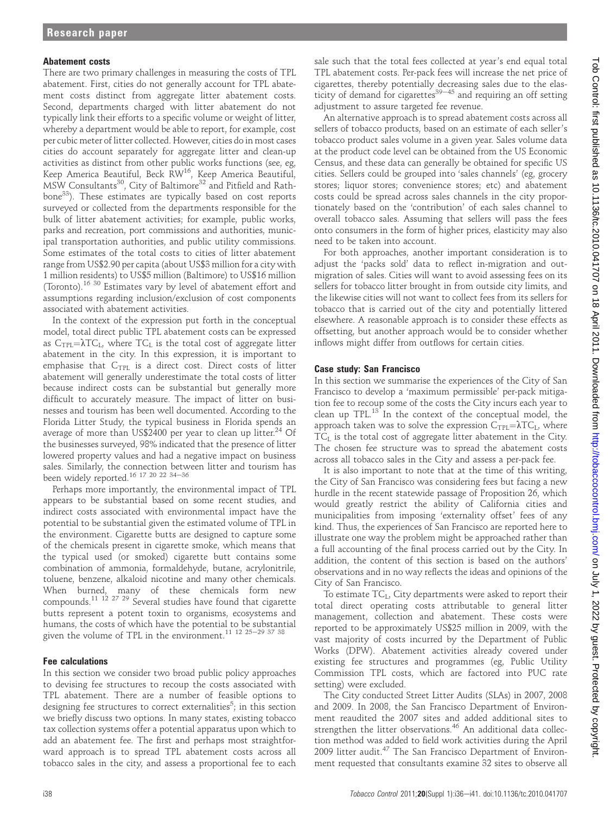#### Abatement costs

There are two primary challenges in measuring the costs of TPL abatement. First, cities do not generally account for TPL abatement costs distinct from aggregate litter abatement costs. Second, departments charged with litter abatement do not typically link their efforts to a specific volume or weight of litter, whereby a department would be able to report, for example, cost per cubic meter of litter collected. However, cities do in most cases cities do account separately for aggregate litter and clean-up activities as distinct from other public works functions (see, eg, Reep America Beautiful, Beck RW<sup>16</sup>, Keep America Beautiful, MSW Consultants<sup>30</sup>, City of Baltimore<sup>32</sup> and Pitfield and Rathbone33). These estimates are typically based on cost reports surveyed or collected from the departments responsible for the bulk of litter abatement activities; for example, public works, parks and recreation, port commissions and authorities, municipal transportation authorities, and public utility commissions. Some estimates of the total costs to cities of litter abatement range from US\$2.90 per capita (about US\$3 million for a city with 1 million residents) to US\$5 million (Baltimore) to US\$16 million (Toronto).16 30 Estimates vary by level of abatement effort and assumptions regarding inclusion/exclusion of cost components associated with abatement activities.

In the context of the expression put forth in the conceptual model, total direct public TPL abatement costs can be expressed as  $C_{TPL} = \lambda TC_L$ , where  $TC_L$  is the total cost of aggregate litter abatement in the city. In this expression, it is important to emphasise that  $C_{TPL}$  is a direct cost. Direct costs of litter abatement will generally underestimate the total costs of litter because indirect costs can be substantial but generally more difficult to accurately measure. The impact of litter on businesses and tourism has been well documented. According to the Florida Litter Study, the typical business in Florida spends an average of more than US\$2400 per year to clean up litter.<sup>24</sup> Of the businesses surveyed, 98% indicated that the presence of litter lowered property values and had a negative impact on business sales. Similarly, the connection between litter and tourism has been widely reported.<sup>16 17</sup> <sup>20</sup> <sup>22</sup> <sup>34-36</sup>

Perhaps more importantly, the environmental impact of TPL appears to be substantial based on some recent studies, and indirect costs associated with environmental impact have the potential to be substantial given the estimated volume of TPL in the environment. Cigarette butts are designed to capture some of the chemicals present in cigarette smoke, which means that the typical used (or smoked) cigarette butt contains some combination of ammonia, formaldehyde, butane, acrylonitrile, toluene, benzene, alkaloid nicotine and many other chemicals. When burned, many of these chemicals form new compounds.<sup>11 12 27 29</sup> Several studies have found that cigarette butts represent a potent toxin to organisms, ecosystems and humans, the costs of which have the potential to be substantial given the volume of TPL in the environment.<sup>11 12 25-29 37 38</sup>

## Fee calculations

In this section we consider two broad public policy approaches to devising fee structures to recoup the costs associated with TPL abatement. There are a number of feasible options to designing fee structures to correct externalities $^5\!;$  in this section we briefly discuss two options. In many states, existing tobacco tax collection systems offer a potential apparatus upon which to add an abatement fee. The first and perhaps most straightforward approach is to spread TPL abatement costs across all tobacco sales in the city, and assess a proportional fee to each sale such that the total fees collected at year's end equal total TPL abatement costs. Per-pack fees will increase the net price of cigarettes, thereby potentially decreasing sales due to the elasticity of demand for cigarettes $39-45$  and requiring an off setting adjustment to assure targeted fee revenue.

An alternative approach is to spread abatement costs across all sellers of tobacco products, based on an estimate of each seller's tobacco product sales volume in a given year. Sales volume data at the product code level can be obtained from the US Economic Census, and these data can generally be obtained for specific US cities. Sellers could be grouped into 'sales channels' (eg, grocery stores; liquor stores; convenience stores; etc) and abatement costs could be spread across sales channels in the city proportionately based on the 'contribution' of each sales channel to overall tobacco sales. Assuming that sellers will pass the fees onto consumers in the form of higher prices, elasticity may also need to be taken into account.

For both approaches, another important consideration is to adjust the 'packs sold' data to reflect in-migration and outmigration of sales. Cities will want to avoid assessing fees on its sellers for tobacco litter brought in from outside city limits, and the likewise cities will not want to collect fees from its sellers for tobacco that is carried out of the city and potentially littered elsewhere. A reasonable approach is to consider these effects as offsetting, but another approach would be to consider whether inflows might differ from outflows for certain cities.

## Case study: San Francisco

In this section we summarise the experiences of the City of San Francisco to develop a 'maximum permissible' per-pack mitigation fee to recoup some of the costs the City incurs each year to clean up TPL. $^{13}$  In the context of the conceptual model, the approach taken was to solve the expression  $C_{TPL} = \lambda TC_L$ , where  $TC<sub>I</sub>$  is the total cost of aggregate litter abatement in the City. The chosen fee structure was to spread the abatement costs across all tobacco sales in the City and assess a per-pack fee.

It is also important to note that at the time of this writing, the City of San Francisco was considering fees but facing a new hurdle in the recent statewide passage of Proposition 26, which would greatly restrict the ability of California cities and municipalities from imposing 'externality offset' fees of any kind. Thus, the experiences of San Francisco are reported here to illustrate one way the problem might be approached rather than a full accounting of the final process carried out by the City. In addition, the content of this section is based on the authors' observations and in no way reflects the ideas and opinions of the City of San Francisco.

To estimate  $TC_L$ , City departments were asked to report their total direct operating costs attributable to general litter management, collection and abatement. These costs were reported to be approximately US\$25 million in 2009, with the vast majority of costs incurred by the Department of Public Works (DPW). Abatement activities already covered under existing fee structures and programmes (eg, Public Utility Commission TPL costs, which are factored into PUC rate setting) were excluded.

The City conducted Street Litter Audits (SLAs) in 2007, 2008 and 2009. In 2008, the San Francisco Department of Environment reaudited the 2007 sites and added additional sites to strengthen the litter observations.<sup>46</sup> An additional data collection method was added to field work activities during the April 2009 litter audit.<sup>47</sup> The San Francisco Department of Environment requested that consultants examine 32 sites to observe all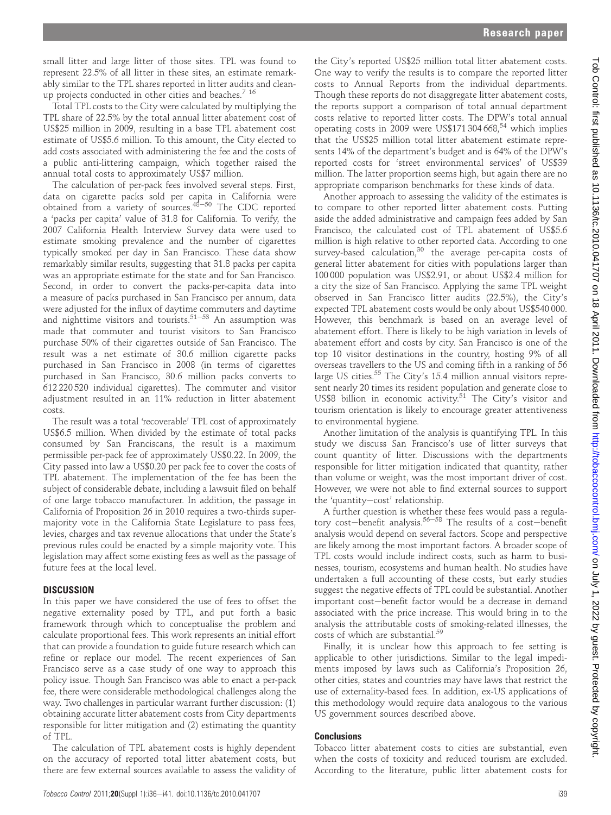small litter and large litter of those sites. TPL was found to represent 22.5% of all litter in these sites, an estimate remarkably similar to the TPL shares reported in litter audits and cleanup projects conducted in other cities and beaches.<sup>7 16</sup>

Total TPL costs to the City were calculated by multiplying the TPL share of 22.5% by the total annual litter abatement cost of US\$25 million in 2009, resulting in a base TPL abatement cost estimate of US\$5.6 million. To this amount, the City elected to add costs associated with administering the fee and the costs of a public anti-littering campaign, which together raised the annual total costs to approximately US\$7 million.

The calculation of per-pack fees involved several steps. First, data on cigarette packs sold per capita in California were obtained from a variety of sources. $48-50$  The CDC reported a 'packs per capita' value of 31.8 for California. To verify, the 2007 California Health Interview Survey data were used to estimate smoking prevalence and the number of cigarettes typically smoked per day in San Francisco. These data show remarkably similar results, suggesting that 31.8 packs per capita was an appropriate estimate for the state and for San Francisco. Second, in order to convert the packs-per-capita data into a measure of packs purchased in San Francisco per annum, data were adjusted for the influx of daytime commuters and daytime and nighttime visitors and tourists.<sup>51-53</sup> An assumption was made that commuter and tourist visitors to San Francisco purchase 50% of their cigarettes outside of San Francisco. The result was a net estimate of 30.6 million cigarette packs purchased in San Francisco in 2008 (in terms of cigarettes purchased in San Francisco, 30.6 million packs converts to 612 220 520 individual cigarettes). The commuter and visitor adjustment resulted in an 11% reduction in litter abatement costs.

The result was a total 'recoverable' TPL cost of approximately US\$6.5 million. When divided by the estimate of total packs consumed by San Franciscans, the result is a maximum permissible per-pack fee of approximately US\$0.22. In 2009, the City passed into law a US\$0.20 per pack fee to cover the costs of TPL abatement. The implementation of the fee has been the subject of considerable debate, including a lawsuit filed on behalf of one large tobacco manufacturer. In addition, the passage in California of Proposition 26 in 2010 requires a two-thirds supermajority vote in the California State Legislature to pass fees, levies, charges and tax revenue allocations that under the State's previous rules could be enacted by a simple majority vote. This legislation may affect some existing fees as well as the passage of future fees at the local level.

# **DISCUSSION**

In this paper we have considered the use of fees to offset the negative externality posed by TPL, and put forth a basic framework through which to conceptualise the problem and calculate proportional fees. This work represents an initial effort that can provide a foundation to guide future research which can refine or replace our model. The recent experiences of San Francisco serve as a case study of one way to approach this policy issue. Though San Francisco was able to enact a per-pack fee, there were considerable methodological challenges along the way. Two challenges in particular warrant further discussion: (1) obtaining accurate litter abatement costs from City departments responsible for litter mitigation and (2) estimating the quantity of TPL.

The calculation of TPL abatement costs is highly dependent on the accuracy of reported total litter abatement costs, but there are few external sources available to assess the validity of

the City's reported US\$25 million total litter abatement costs. One way to verify the results is to compare the reported litter costs to Annual Reports from the individual departments. Though these reports do not disaggregate litter abatement costs, the reports support a comparison of total annual department costs relative to reported litter costs. The DPW's total annual operating costs in  $2009$  were US\$171 304 668,<sup>54</sup> which implies that the US\$25 million total litter abatement estimate represents 14% of the department's budget and is 64% of the DPW's reported costs for 'street environmental services' of US\$39 million. The latter proportion seems high, but again there are no appropriate comparison benchmarks for these kinds of data.

Another approach to assessing the validity of the estimates is to compare to other reported litter abatement costs. Putting aside the added administrative and campaign fees added by San Francisco, the calculated cost of TPL abatement of US\$5.6 million is high relative to other reported data. According to one survey-based calculation,  $30$  the average per-capita costs of general litter abatement for cities with populations larger than 100 000 population was US\$2.91, or about US\$2.4 million for a city the size of San Francisco. Applying the same TPL weight observed in San Francisco litter audits (22.5%), the City's expected TPL abatement costs would be only about US\$540 000. However, this benchmark is based on an average level of abatement effort. There is likely to be high variation in levels of abatement effort and costs by city. San Francisco is one of the top 10 visitor destinations in the country, hosting 9% of all overseas travellers to the US and coming fifth in a ranking of 56 large US cities.<sup>55</sup> The City's 15.4 million annual visitors represent nearly 20 times its resident population and generate close to US\$8 billion in economic activity.<sup>51</sup> The City's visitor and tourism orientation is likely to encourage greater attentiveness to environmental hygiene.

Another limitation of the analysis is quantifying TPL. In this study we discuss San Francisco's use of litter surveys that count quantity of litter. Discussions with the departments responsible for litter mitigation indicated that quantity, rather than volume or weight, was the most important driver of cost. However, we were not able to find external sources to support the 'quantity-cost' relationship.

A further question is whether these fees would pass a regulatory cost-benefit analysis.<sup>56-58</sup> The results of a cost-benefit analysis would depend on several factors. Scope and perspective are likely among the most important factors. A broader scope of TPL costs would include indirect costs, such as harm to businesses, tourism, ecosystems and human health. No studies have undertaken a full accounting of these costs, but early studies suggest the negative effects of TPL could be substantial. Another important cost-benefit factor would be a decrease in demand associated with the price increase. This would bring in to the analysis the attributable costs of smoking-related illnesses, the costs of which are substantial. $^{59}$ 

Finally, it is unclear how this approach to fee setting is applicable to other jurisdictions. Similar to the legal impediments imposed by laws such as California's Proposition 26, other cities, states and countries may have laws that restrict the use of externality-based fees. In addition, ex-US applications of this methodology would require data analogous to the various US government sources described above.

# **Conclusions**

Tobacco litter abatement costs to cities are substantial, even when the costs of toxicity and reduced tourism are excluded. According to the literature, public litter abatement costs for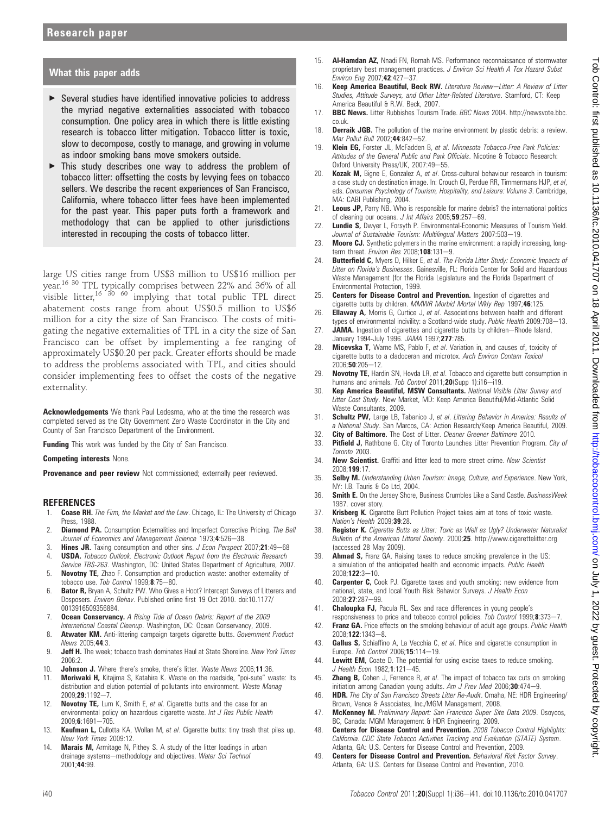#### What this paper adds

- ▶ Several studies have identified innovative policies to address the myriad negative externalities associated with tobacco consumption. One policy area in which there is little existing research is tobacco litter mitigation. Tobacco litter is toxic, slow to decompose, costly to manage, and growing in volume as indoor smoking bans move smokers outside.
- $\triangleright$  This study describes one way to address the problem of tobacco litter: offsetting the costs by levying fees on tobacco sellers. We describe the recent experiences of San Francisco, California, where tobacco litter fees have been implemented for the past year. This paper puts forth a framework and methodology that can be applied to other jurisdictions interested in recouping the costs of tobacco litter.

large US cities range from US\$3 million to US\$16 million per year.16 <sup>30</sup> TPL typically comprises between 22% and 36% of all visible litter,<sup>16 30</sup> <sup>60</sup> implying that total public TPL direct abatement costs range from about US\$0.5 million to US\$6 million for a city the size of San Francisco. The costs of mitigating the negative externalities of TPL in a city the size of San Francisco can be offset by implementing a fee ranging of approximately US\$0.20 per pack. Greater efforts should be made to address the problems associated with TPL, and cities should consider implementing fees to offset the costs of the negative externality.

Acknowledgements We thank Paul Ledesma, who at the time the research was completed served as the City Government Zero Waste Coordinator in the City and County of San Francisco Department of the Environment.

Funding This work was funded by the City of San Francisco.

Competing interests None.

Provenance and peer review Not commissioned; externally peer reviewed.

#### **REFERENCES**

- 1. **Coase RH.** The Firm, the Market and the Law. Chicago, IL: The University of Chicago Press, 1988.
- 2. **Diamond PA.** Consumption Externalities and Imperfect Corrective Pricing. The Bell Journal of Economics and Management Science 1973:4:526-38.
- 3. Hines JR. Taxing consumption and other sins. J Econ Perspect 2007;21:49-68
- 4. **USDA.** Tobacco Outlook. Electronic Outlook Report from the Electronic Research Service TBS-263. Washington, DC: United States Department of Agriculture, 2007.
- 5. Novotny TE, Zhao F. Consumption and production waste: another externality of tobacco use. Tob Control 1999; $8.75-80$ .
- 6. Bator R, Bryan A, Schultz PW. Who Gives a Hoot? Intercept Surveys of Litterers and Dosposers. Environ Behav. Published online first 19 Oct 2010. doi:10.1177/ 0013916509356884.
- 7. **Ocean Conservancy.** A Rising Tide of Ocean Debris: Report of the 2009 International Coastal Cleanup. Washington, DC: Ocean Conservancy, 2009.
- 8. **Atwater KM.** Anti-littering campaign targets cigarette butts. Government Product News 2005;44:3.
- 9. **Jeff H.** The week; tobacco trash dominates Haul at State Shoreline. New York Times 2006:2.
- 10. **Johnson J.** Where there's smoke, there's litter. Waste News 2006:11:36
- 11. **Moriwaki H,** Kitajima S, Katahira K. Waste on the roadside, "poi-sute" waste: Its distribution and elution potential of pollutants into environment. Waste Manag 2009;29:1192-7.
- 12. Novotny TE, Lum K, Smith E, et al. Cigarette butts and the case for an environmental policy on hazardous cigarette waste. Int J Res Public Health 2009;6:1691-705
- 13. **Kaufman L,** Cullotta KA, Wollan M, et al. Cigarette butts: tiny trash that piles up. New York Times 2009:12.
- 14. Marais M, Armitage N, Pithey S. A study of the litter loadings in urban drainage systems-methodology and objectives. Water Sci Technol 2001;44:99.
- 15. **Al-Hamdan AZ**, Nnadi FN, Romah MS, Performance reconnaissance of stormwater proprietary best management practices. J Environ Sci Health A Tox Hazard Subst Environ Eng 2007;42:427-37.
- 16. Keep America Beautiful, Beck RW. Literature Review-Litter: A Review of Litter Studies, Attitude Surveys, and Other Litter-Related Literature. Stamford, CT: Keep America Beautiful & R.W. Beck, 2007.
- 17. BBC News. Litter Rubbishes Tourism Trade. BBC News 2004. http://newsvote.bbc. co.uk.
- 18. **Derraik JGB.** The pollution of the marine environment by plastic debris: a review. Mar Pollut Bull 2002;44:842-52.
- 19. Klein EG, Forster JL, McFadden B, et al. Minnesota Tobacco-Free Park Policies: Attitudes of the General Public and Park Officials. Nicotine & Tobacco Research: Oxford University Press/UK, 2007:49-55.
- 20. Kozak M, Bigne E, Gonzalez A, et al. Cross-cultural behaviour research in tourism: a case study on destination image. In: Crouch GI, Perdue RR, Timmermans HJP, et al, eds. Consumer Psychology of Tourism, Hospitality, and Leisure: Volume 3. Cambridge, MA: CABI Publishing, 2004.
- 21. Leous JP, Parry NB. Who is responsible for marine debris? the international politics of cleaning our oceans.  $J$  Int Affairs 2005; 59:257-69.
- 22. Lundie S, Dwyer L, Forsyth P. Environmental-Economic Measures of Tourism Yield. Journal of Sustainable Tourism: Multilingual Matters 2007:503-19.
- 23. Moore CJ. Synthetic polymers in the marine environment: a rapidly increasing, longterm threat. Environ Res 2008;108:131-9.
- 24. Butterfield C, Myers D, Hilker E, et al. The Florida Litter Study: Economic Impacts of Litter on Florida's Businesses. Gainesville, FL: Florida Center for Solid and Hazardous Waste Management (for the Florida Legislature and the Florida Department of Environmental Protection, 1999.
- 25. Centers for Disease Control and Prevention. Ingestion of cigarettes and cigarette butts by children. MMWR Morbid Mortal Wkly Rep 1997;46:125.
- 26. **Ellaway A,** Morris G, Curtice J, et al. Associations between health and different types of environmental incivility: a Scotland-wide study. Public Health 2009:708-13.
- 27. JAMA. Ingestion of cigarettes and cigarette butts by children-Rhode Island, January 1994-July 1996. JAMA 1997;277:785.
- 28. **Micevska T,** Warne MS, Pablo F, et al. Variation in, and causes of, toxicity of cigarette butts to a cladoceran and microtox. Arch Environ Contam Toxicol  $2006:50:205-12$
- 29. Novotny TE, Hardin SN, Hovda LR, et al. Tobacco and cigarette butt consumption in humans and animals. Tob Control 2011;20(Supp 1):i16-i19.
- 30. Kep America Beautiful, MSW Consultants. National Visible Litter Survey and Litter Cost Study. New Market, MD: Keep America Beautiful/Mid-Atlantic Solid Waste Consultants, 2009.
- 31. Schultz PW, Large LB, Tabanico J, et al. Littering Behavior in America: Results of a National Study. San Marcos, CA: Action Research/Keep America Beautiful, 2009.
- 32. **City of Baltimore.** The Cost of Litter. *Cleaner Greener Baltimore* 2010.<br>33. **Pitfield J.** Bathbone G. City of Toronto Launches Litter Prevention Progr
- Pitfield J, Rathbone G. City of Toronto Launches Litter Prevention Program. City of Toronto 2003.
- 34. New Scientist. Graffiti and litter lead to more street crime. New Scientist 2008;199:17.
- 35. Selby M. Understanding Urban Tourism: Image, Culture, and Experience. New York, NY: I.B. Tauris & Co Ltd, 2004.
- 36. **Smith E.** On the Jersey Shore, Business Crumbles Like a Sand Castle. BusinessWeek 1987. cover story.
- 37. Krisberg K. Cigarette Butt Pollution Project takes aim at tons of toxic waste Nation's Health 2009;39:28.
- 38. Register K. Cigarette Butts as Litter: Toxic as Well as Ugly? Underwater Naturalist Bulletin of the American Littoral Society. 2000;25. http://www.cigarettelitter.org (accessed 28 May 2009).
- 39. **Ahmad S,** Franz GA. Raising taxes to reduce smoking prevalence in the US: a simulation of the anticipated health and economic impacts. Public Health 2008;122:3-10.
- 40. **Carpenter C,** Cook PJ. Cigarette taxes and youth smoking: new evidence from national, state, and local Youth Risk Behavior Surveys. J Health Econ 2008;27:287-99.
- 41. **Chaloupka FJ,** Pacula RL. Sex and race differences in young people's responsiveness to price and tobacco control policies. Tob Control 1999;  $8:373-7$ .
- 42. Franz GA. Price effects on the smoking behaviour of adult age groups. Public Health  $2008:122:1343-8$
- 43. Gallus S, Schiaffino A, La Vecchia C, et al. Price and cigarette consumption in Europe. Tob Control 2006;15:114-19.
- 44. Lewitt EM, Coate D. The potential for using excise taxes to reduce smoking. J Health Econ 1982;1:121-45.
- 45. **Zhang B,** Cohen J, Ferrence R, et al. The impact of tobacco tax cuts on smoking initiation among Canadian young adults. Am  $J$  Prev Med 2006;30:474-9.
- 46. **HDR.** The City of San Francisco Streets Litter Re-Audit. Omaha, NE: HDR Engineering/ Brown, Vence & Associates, Inc./MGM Management, 2008.
- 47. McKenney M. Preliminary Report: San Francisco Super Site Data 2009. Osoyoos, BC, Canada: MGM Management & HDR Engineering, 2009.
- 48. Centers for Disease Control and Prevention. 2008 Tobacco Control Highlights: California. CDC State Tobacco Activities Tracking and Evaluation (STATE) System. Atlanta, GA: U.S. Centers for Disease Control and Prevention, 2009.
- 49. Centers for Disease Control and Prevention. Behavioral Risk Factor Survey. Atlanta, GA: U.S. Centers for Disease Control and Prevention, 2010.